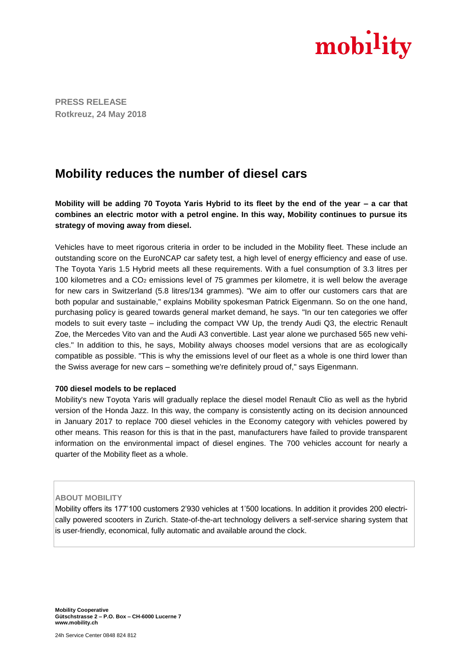

**PRESS RELEASE Rotkreuz, 24 May 2018**

## **Mobility reduces the number of diesel cars**

**Mobility will be adding 70 Toyota Yaris Hybrid to its fleet by the end of the year – a car that combines an electric motor with a petrol engine. In this way, Mobility continues to pursue its strategy of moving away from diesel.**

Vehicles have to meet rigorous criteria in order to be included in the Mobility fleet. These include an outstanding score on the EuroNCAP car safety test, a high level of energy efficiency and ease of use. The Toyota Yaris 1.5 Hybrid meets all these requirements. With a fuel consumption of 3.3 litres per 100 kilometres and a CO<sup>2</sup> emissions level of 75 grammes per kilometre, it is well below the average for new cars in Switzerland (5.8 litres/134 grammes). "We aim to offer our customers cars that are both popular and sustainable," explains Mobility spokesman Patrick Eigenmann. So on the one hand, purchasing policy is geared towards general market demand, he says. "In our ten categories we offer models to suit every taste – including the compact VW Up, the trendy Audi Q3, the electric Renault Zoe, the Mercedes Vito van and the Audi A3 convertible. Last year alone we purchased 565 new vehicles." In addition to this, he says, Mobility always chooses model versions that are as ecologically compatible as possible. "This is why the emissions level of our fleet as a whole is one third lower than the Swiss average for new cars – something we're definitely proud of," says Eigenmann.

## **700 diesel models to be replaced**

Mobility's new Toyota Yaris will gradually replace the diesel model Renault Clio as well as the hybrid version of the Honda Jazz. In this way, the company is consistently acting on its decision announced in January 2017 to replace 700 diesel vehicles in the Economy category with vehicles powered by other means. This reason for this is that in the past, manufacturers have failed to provide transparent information on the environmental impact of diesel engines. The 700 vehicles account for nearly a quarter of the Mobility fleet as a whole.

## **ABOUT MOBILITY**

Mobility offers its 177'100 customers 2'930 vehicles at 1'500 locations. In addition it provides 200 electrically powered scooters in Zurich. State-of-the-art technology delivers a self-service sharing system that is user-friendly, economical, fully automatic and available around the clock.